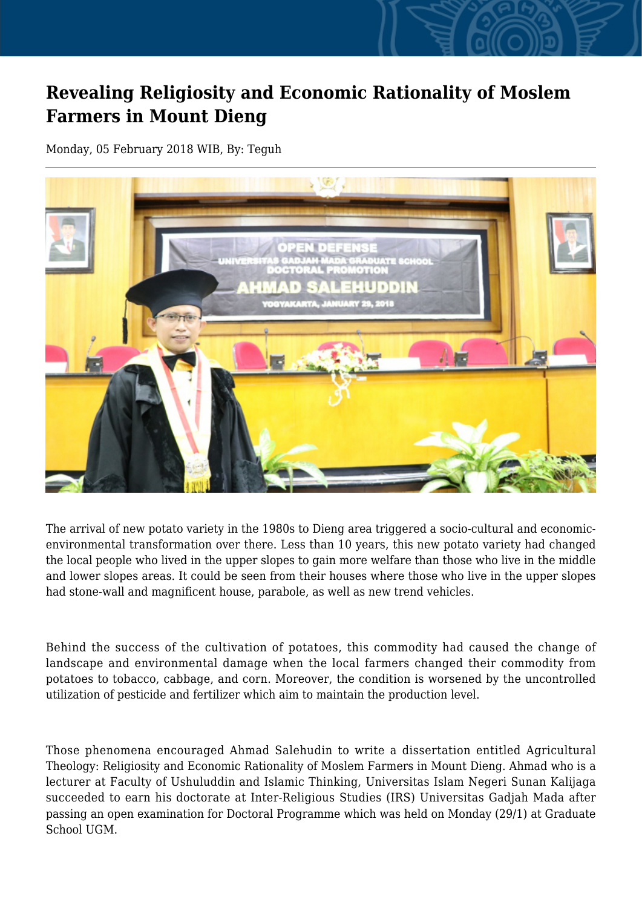## **Revealing Religiosity and Economic Rationality of Moslem Farmers in Mount Dieng**

Monday, 05 February 2018 WIB, By: Teguh



The arrival of new potato variety in the 1980s to Dieng area triggered a socio-cultural and economicenvironmental transformation over there. Less than 10 years, this new potato variety had changed the local people who lived in the upper slopes to gain more welfare than those who live in the middle and lower slopes areas. It could be seen from their houses where those who live in the upper slopes had stone-wall and magnificent house, parabole, as well as new trend vehicles.

Behind the success of the cultivation of potatoes, this commodity had caused the change of landscape and environmental damage when the local farmers changed their commodity from potatoes to tobacco, cabbage, and corn. Moreover, the condition is worsened by the uncontrolled utilization of pesticide and fertilizer which aim to maintain the production level.

Those phenomena encouraged Ahmad Salehudin to write a dissertation entitled Agricultural Theology: Religiosity and Economic Rationality of Moslem Farmers in Mount Dieng. Ahmad who is a lecturer at Faculty of Ushuluddin and Islamic Thinking, Universitas Islam Negeri Sunan Kalijaga succeeded to earn his doctorate at Inter-Religious Studies (IRS) Universitas Gadjah Mada after passing an open examination for Doctoral Programme which was held on Monday (29/1) at Graduate School UGM.